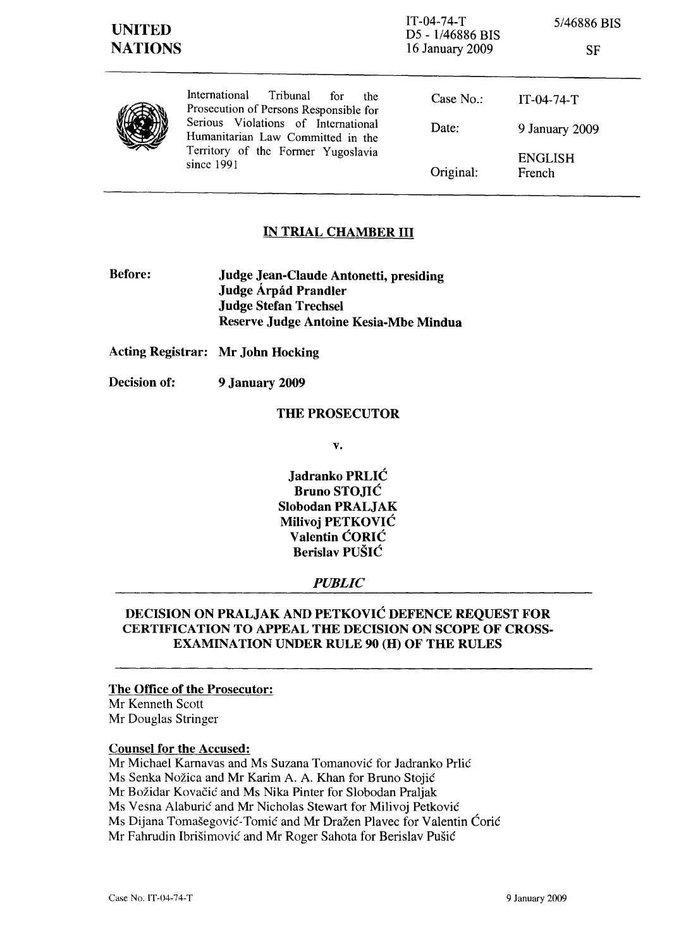1T-04-74-T D5 - 1/46886 BIS 16 January 2009

5/46886 BIS

| v<br>I |  |
|--------|--|
|--------|--|

|  | International<br>Tribunal<br>for<br>the.<br>Prosecution of Persons Responsible for<br>Serious Violations of International | Case $No.$ :<br>Date: | $IT-04-74-T$             |  |
|--|---------------------------------------------------------------------------------------------------------------------------|-----------------------|--------------------------|--|
|  | Humanitarian Law Committed in the<br>Territory of the Former Yugoslavia<br>since 1991                                     |                       | 9 January 2009           |  |
|  |                                                                                                                           | Original:             | <b>ENGLISH</b><br>French |  |

## IN TRIAL CHAMBER III

Before: Judge Jean-Claude Antonetti, presiding Judge Árpád Prandler Judge Stefan Trechsel Reserve Judge Antoine Kesia-Mbe Mindua

Acting Registrar: Mr John Hocking

Decision of: 9 January 2009

#### THE PROSECUTOR

v.

Jadranko PRLIC Bruno STOJIC Slobodan PRALJAK Milivoj PETKOVIC Valentin CORIC Berislav PUSIC

#### *PUBLIC*

## DECISION ON PRALJAK AND PETKOVIC DEFENCE REQUEST FOR CERTIFICATION TO APPEAL THE DECISION ON SCOPE OF CROSS-EXAMINATION UNDER RULE 90 (H) OF THE RULES

### The Office of the Prosecutor:

Mr Kenneth Scott Mr Douglas Stringer

### Counsel for the Accused:

Mr Michael Karnavas and Ms Suzana Tomanovic for Jadranko Prlic Ms Senka Nozica and Mr Karim A. A. Khan for Bruno Stojic Mr Bozidar Kovacic and Ms Nika Pinter for Slobodan Praljak Ms Vesna Alaburic and Mr Nicholas Stewart for Milivoj Petkovic Ms Dijana Tomasegovic-Tomic and Mr Drazen PIavec for Valentin Coric Mr Fahrudin Ibrisimovic and Mr Roger Sahota for Berislav Pusic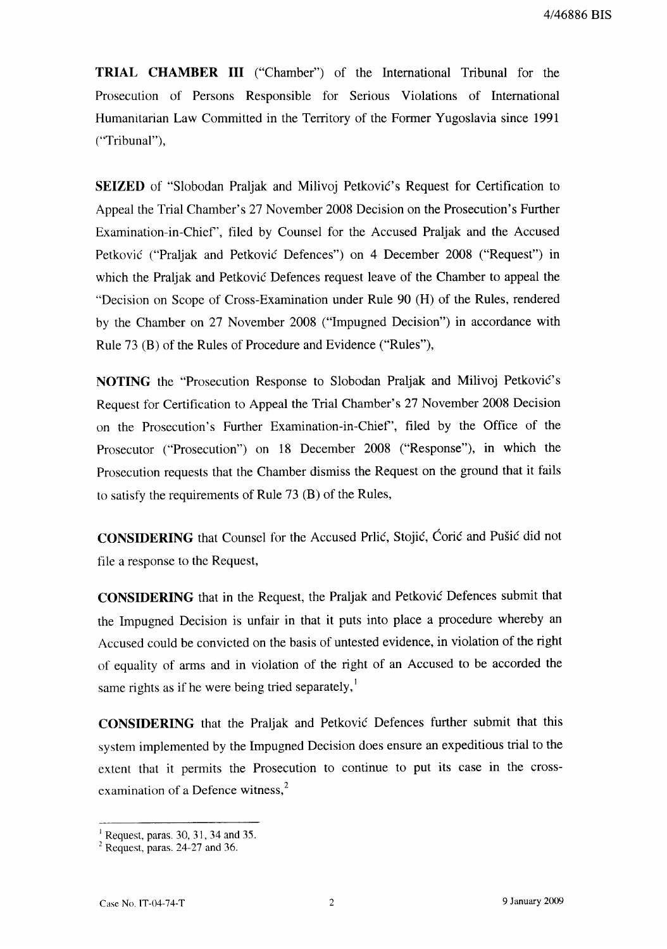**TRIAL CHAMBER III** ("Chamber") of the International Tribunal for the Prosecution of Persons Responsible for Serious Violations of International Humanitarian Law Committed in the Territory of the Former Yugoslavia since 1991 ("Tribunal"),

SEIZED of "Slobodan Praljak and Milivoj Petković's Request for Certification to Appeal the Trial Chamber's 27 November 2008 Decision on the Prosecution's Further Examination-in-Chief", filed by Counsel for the Accused Praljak and the Accused Petković ("Praljak and Petković Defences") on 4 December 2008 ("Request") in which the Praljak and Petković Defences request leave of the Chamber to appeal the "Decision on Scope of Cross-Examination under Rule 90 (H) of the Rules, rendered by the Chamber on 27 November 2008 ("Impugned Decision") in accordance with Rule 73 (B) of the Rules of Procedure and Evidence ("Rules"),

NOTING the "Prosecution Response to Slobodan Praljak and Milivoj Petković's Request for Certification to Appeal the Trial Chamber's 27 November 2008 Decision on the Prosecution's Further Examination-in-Chief", filed by the Office of the Prosecutor ("Prosecution") on 18 December 2008 ("Response"), in which the Prosecution requests that the Chamber dismiss the Request on the ground that it fails to satisfy the requirements of Rule 73 (B) of the Rules,

CONSIDERING that Counsel for the Accused Prlić, Stojić, Ćorić and Pušić did not file a response to the Request,

**CONSIDERING** that in the Request, the Praljak and Petković Defences submit that the Impugned Decision is unfair in that it puts into place a procedure whereby an Accused could be convicted on the basis of untested evidence, in violation of the right of equality of arms and in violation of the right of an Accused to be accorded the same rights as if he were being tried separately,<sup>1</sup>

**CONSIDERING** that the Praljak and Petković Defences further submit that this system implemented by the Impugned Decision does ensure an expeditious trial to the extent that it permits the Prosecution to continue to put its case in the crossexamination of a Defence witness,<sup>2</sup>

 $1$  Request, paras. 30, 31, 34 and 35.

 $2$  Request, paras. 24-27 and 36.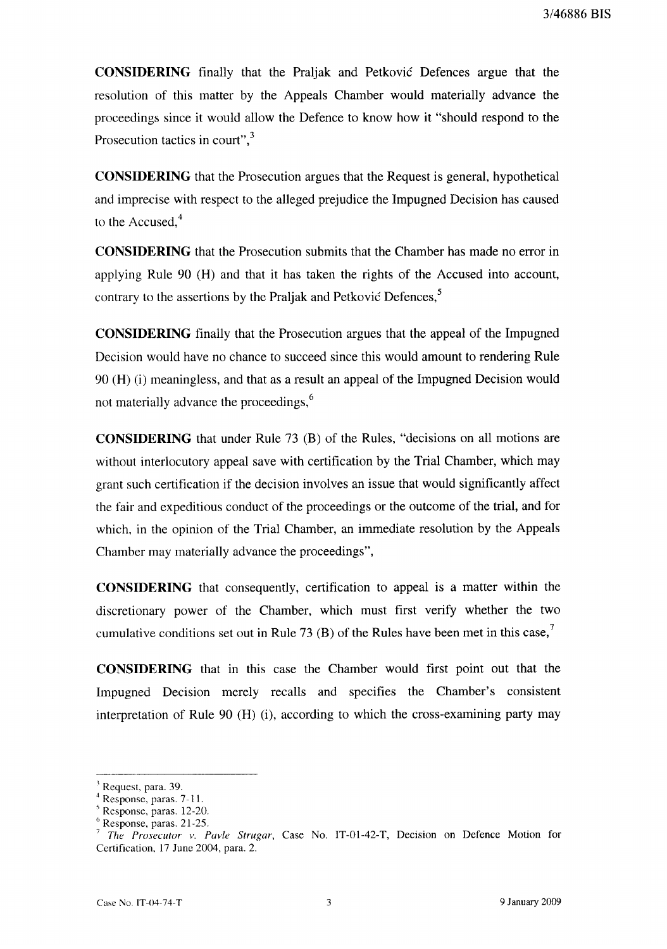CONSIDERING finally that the Praljak and Petković Defences argue that the resolution of this matter by the Appeals Chamber would materially advance the proceedings since it would allow the Defence to know how it "should respond to the Prosecution tactics in court",<sup>3</sup>

**CONSIDERING** that the Prosecution argues that the Request is general, hypothetical and imprecise with respect to the alleged prejudice the Impugned Decision has caused to the Accused.<sup>4</sup>

**CONSIDERING** that the Prosecution submits that the Chamber has made no error in applying Rule 90 (H) and that it has taken the rights of the Accused into account, contrary to the assertions by the Praljak and Petković Defences,<sup>5</sup>

**CONSIDERING** finally that the Prosecution argues that the appeal of the Impugned Decision would have no chance to succeed since this would amount to rendering Rule 90 (H) (i) meaningless, and that as a result an appeal of the Impugned Decision would not materially advance the proceedings,<sup>6</sup>

**CONSIDERING** that under Rule 73 (B) of the Rules, "decisions on all motions are without interlocutory appeal save with certification by the Trial Chamber, which may grant such certification if the decision involves an issue that would significantly affect the fair and expeditious conduct of the proceedings or the outcome of the trial, and for which, in the opinion of the Trial Chamber, an immediate resolution by the Appeals Chamber may materially advance the proceedings",

**CONSIDERING** that consequently, certification to appeal is a matter within the discretionary power of the Chamber, which must first verify whether the two cumulative conditions set out in Rule 73 (B) of the Rules have been met in this case,<sup>7</sup>

**CONSIDERING** that in this case the Chamber would first point out that the Impugned Decision merely recalls and specifies the Chamber's consistent interpretation of Rule 90 (H) (i), according to which the cross-examining party may

Request, para. 39.

Response, paras. 7-11.

Response, paras. 12-20.

Response, paras. 21-25.

The Prosecutor v. Pavle Strugar, Case No. IT-01-42-T, Decision on Defence Motion for Certification, 17 June 2004, para. 2.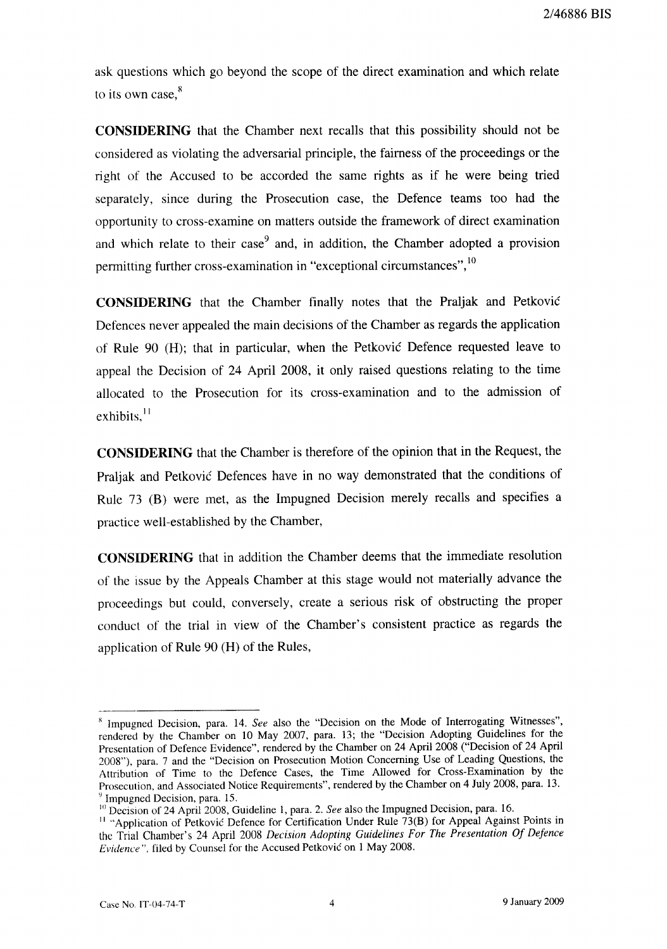2/46886 BIS

ask questions which go beyond the scope of the direct examination and which relate to its own case,<sup>8</sup>

**CONSIDERING** that the Chamber next recalls that this possibility should not be considered as violating the adversarial principle, the fairness of the proceedings or the right of the Accused to be accorded the same rights as if he were being tried separately, since during the Prosecution case, the Defence teams too had the opportunity to cross-examine on matters outside the framework of direct examination and which relate to their case<sup>9</sup> and, in addition, the Chamber adopted a provision permitting further cross-examination in "exceptional circumstances",<sup>10</sup>

CONSIDERING that the Chamber finally notes that the Praljak and Petković Defences never appealed the main decisions of the Chamber as regards the application of Rule 90 (H); that in particular, when the Petković Defence requested leave to appeal the Decision of 24 April 2008, it only raised questions relating to the time allocated to the Prosecution for its cross-examination and to the admission of exhibits.<sup>11</sup>

**CONSIDERING** that the Chamber is therefore of the opinion that in the Request, the Praliak and Petković Defences have in no way demonstrated that the conditions of Rule 73 (B) were met, as the Impugned Decision merely recalls and specifies a practice well-established by the Chamber,

**CONSIDERING** that in addition the Chamber deems that the immediate resolution of the issue by the Appeals Chamber at this stage would not materially advance the proceedings but could, conversely, create a serious risk of obstructing the proper conduct of the trial in view of the Chamber's consistent practice as regards the application of Rule 90 (H) of the Rules,

<sup>&</sup>lt;sup>8</sup> Impugned Decision, para. 14. See also the "Decision on the Mode of Interrogating Witnesses", rendered by the Chamber on 10 May 2007, para. 13; the "Decision Adopting Guidelines for the Presentation of Defence Evidence", rendered by the Chamber on 24 April 2008 ("Decision of 24 April 2008"), para. 7 and the "Decision on Prosecution Motion Concerning Use of Leading Questions, the Attribution of Time to the Defence Cases, the Time Allowed for Cross-Examination by the Prosecution, and Associated Notice Requirements", rendered by the Chamber on 4 July 2008, para. 13. <sup>9</sup> Impugned Decision, para. 15.

<sup>&</sup>lt;sup>10</sup> Decision of 24 April 2008, Guideline 1, para. 2. See also the Impugned Decision, para. 16.

<sup>&</sup>lt;sup>11</sup> "Application of Petković Defence for Certification Under Rule 73(B) for Appeal Against Points in the Trial Chamber's 24 April 2008 Decision Adopting Guidelines For The Presentation Of Defence Evidence", filed by Counsel for the Accused Petković on 1 May 2008.